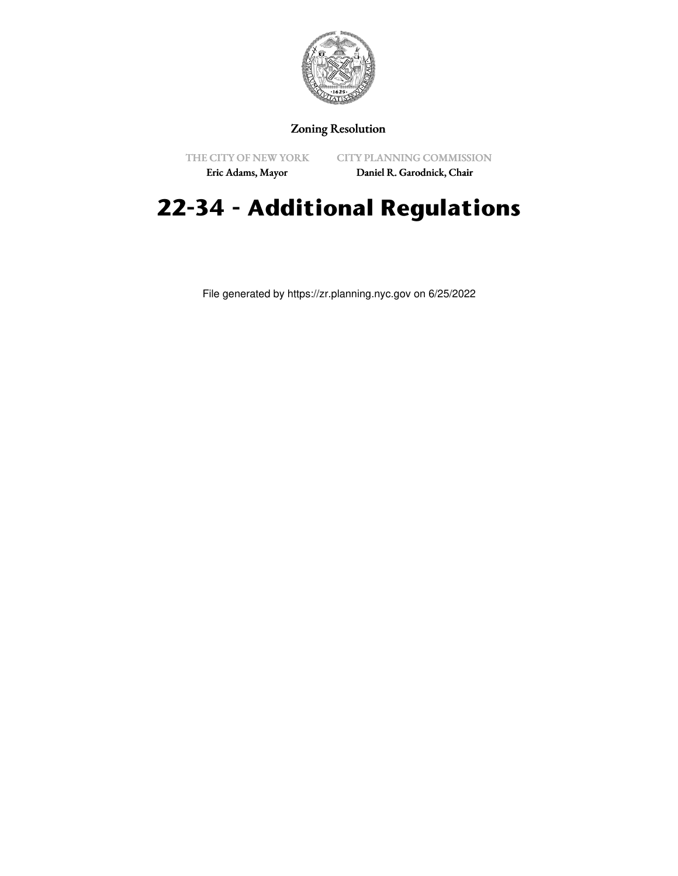

## Zoning Resolution

THE CITY OF NEW YORK

CITY PLANNING COMMISSION

Eric Adams, Mayor

Daniel R. Garodnick, Chair

# **22-34 - Additional Regulations**

File generated by https://zr.planning.nyc.gov on 6/25/2022